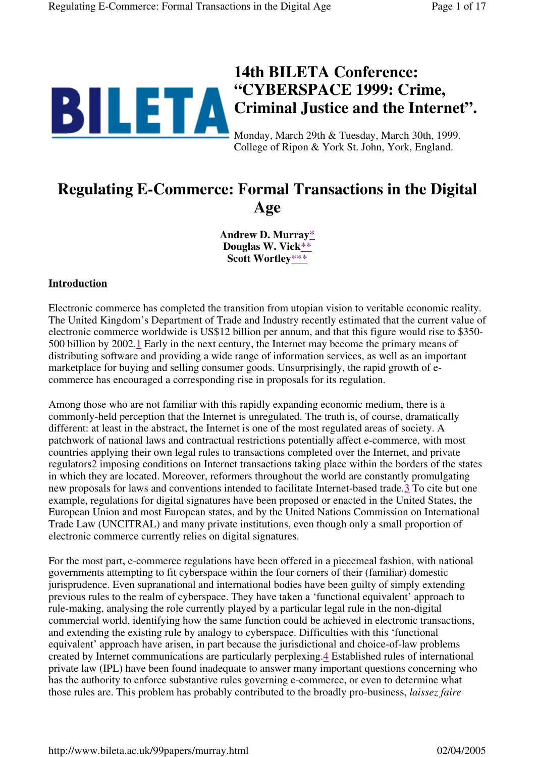

# **14th BILETA Conference: "CYBERSPACE 1999: Crime, Criminal Justice and the Internet".**

Monday, March 29th & Tuesday, March 30th, 1999. College of Ripon & York St. John, York, England.

## **Regulating E-Commerce: Formal Transactions in the Digital Age**

**Andrew D. Murray**\* **Douglas W. Vick**\*\* **Scott Wortley**\*\*\*

## **Introduction**

Electronic commerce has completed the transition from utopian vision to veritable economic reality. The United Kingdom's Department of Trade and Industry recently estimated that the current value of electronic commerce worldwide is US\$12 billion per annum, and that this figure would rise to \$350- 500 billion by 2002.1 Early in the next century, the Internet may become the primary means of distributing software and providing a wide range of information services, as well as an important marketplace for buying and selling consumer goods. Unsurprisingly, the rapid growth of ecommerce has encouraged a corresponding rise in proposals for its regulation.

Among those who are not familiar with this rapidly expanding economic medium, there is a commonly-held perception that the Internet is unregulated. The truth is, of course, dramatically different: at least in the abstract, the Internet is one of the most regulated areas of society. A patchwork of national laws and contractual restrictions potentially affect e-commerce, with most countries applying their own legal rules to transactions completed over the Internet, and private regulators2 imposing conditions on Internet transactions taking place within the borders of the states in which they are located. Moreover, reformers throughout the world are constantly promulgating new proposals for laws and conventions intended to facilitate Internet-based trade.3 To cite but one example, regulations for digital signatures have been proposed or enacted in the United States, the European Union and most European states, and by the United Nations Commission on International Trade Law (UNCITRAL) and many private institutions, even though only a small proportion of electronic commerce currently relies on digital signatures.

For the most part, e-commerce regulations have been offered in a piecemeal fashion, with national governments attempting to fit cyberspace within the four corners of their (familiar) domestic jurisprudence. Even supranational and international bodies have been guilty of simply extending previous rules to the realm of cyberspace. They have taken a 'functional equivalent' approach to rule-making, analysing the role currently played by a particular legal rule in the non-digital commercial world, identifying how the same function could be achieved in electronic transactions, and extending the existing rule by analogy to cyberspace. Difficulties with this 'functional equivalent' approach have arisen, in part because the jurisdictional and choice-of-law problems created by Internet communications are particularly perplexing.4 Established rules of international private law (IPL) have been found inadequate to answer many important questions concerning who has the authority to enforce substantive rules governing e-commerce, or even to determine what those rules are. This problem has probably contributed to the broadly pro-business, *laissez faire*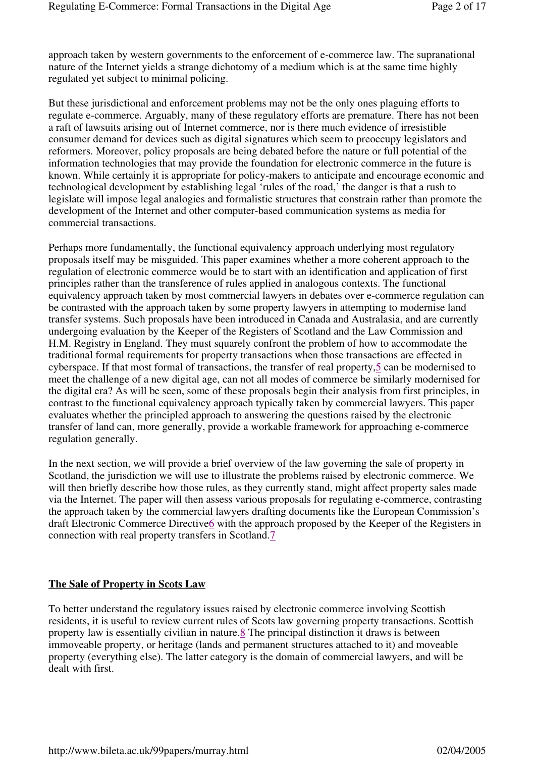approach taken by western governments to the enforcement of e-commerce law. The supranational nature of the Internet yields a strange dichotomy of a medium which is at the same time highly regulated yet subject to minimal policing.

But these jurisdictional and enforcement problems may not be the only ones plaguing efforts to regulate e-commerce. Arguably, many of these regulatory efforts are premature. There has not been a raft of lawsuits arising out of Internet commerce, nor is there much evidence of irresistible consumer demand for devices such as digital signatures which seem to preoccupy legislators and reformers. Moreover, policy proposals are being debated before the nature or full potential of the information technologies that may provide the foundation for electronic commerce in the future is known. While certainly it is appropriate for policy-makers to anticipate and encourage economic and technological development by establishing legal 'rules of the road,' the danger is that a rush to legislate will impose legal analogies and formalistic structures that constrain rather than promote the development of the Internet and other computer-based communication systems as media for commercial transactions.

Perhaps more fundamentally, the functional equivalency approach underlying most regulatory proposals itself may be misguided. This paper examines whether a more coherent approach to the regulation of electronic commerce would be to start with an identification and application of first principles rather than the transference of rules applied in analogous contexts. The functional equivalency approach taken by most commercial lawyers in debates over e-commerce regulation can be contrasted with the approach taken by some property lawyers in attempting to modernise land transfer systems. Such proposals have been introduced in Canada and Australasia, and are currently undergoing evaluation by the Keeper of the Registers of Scotland and the Law Commission and H.M. Registry in England. They must squarely confront the problem of how to accommodate the traditional formal requirements for property transactions when those transactions are effected in cyberspace. If that most formal of transactions, the transfer of real property,  $\frac{5}{2}$  can be modernised to meet the challenge of a new digital age, can not all modes of commerce be similarly modernised for the digital era? As will be seen, some of these proposals begin their analysis from first principles, in contrast to the functional equivalency approach typically taken by commercial lawyers. This paper evaluates whether the principled approach to answering the questions raised by the electronic transfer of land can, more generally, provide a workable framework for approaching e-commerce regulation generally.

In the next section, we will provide a brief overview of the law governing the sale of property in Scotland, the jurisdiction we will use to illustrate the problems raised by electronic commerce. We will then briefly describe how those rules, as they currently stand, might affect property sales made via the Internet. The paper will then assess various proposals for regulating e-commerce, contrasting the approach taken by the commercial lawyers drafting documents like the European Commission's draft Electronic Commerce Directive6 with the approach proposed by the Keeper of the Registers in connection with real property transfers in Scotland.7

#### **The Sale of Property in Scots Law**

To better understand the regulatory issues raised by electronic commerce involving Scottish residents, it is useful to review current rules of Scots law governing property transactions. Scottish property law is essentially civilian in nature.8 The principal distinction it draws is between immoveable property, or heritage (lands and permanent structures attached to it) and moveable property (everything else). The latter category is the domain of commercial lawyers, and will be dealt with first.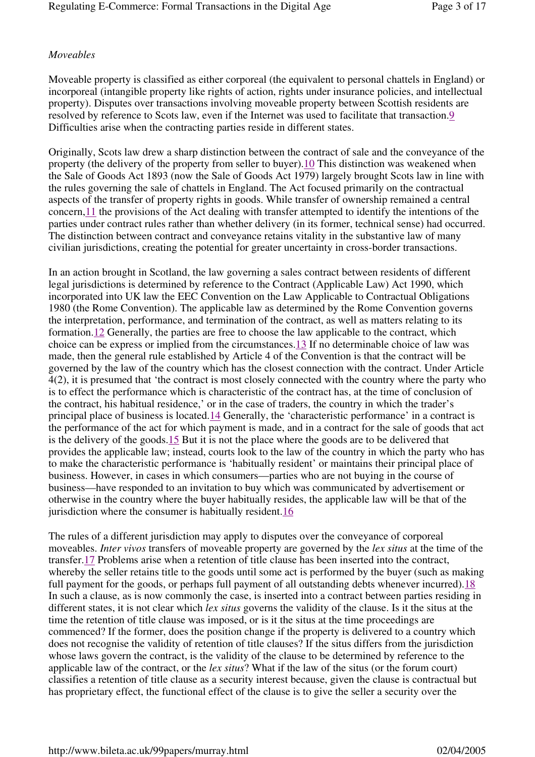## *Moveables*

Moveable property is classified as either corporeal (the equivalent to personal chattels in England) or incorporeal (intangible property like rights of action, rights under insurance policies, and intellectual property). Disputes over transactions involving moveable property between Scottish residents are resolved by reference to Scots law, even if the Internet was used to facilitate that transaction.9 Difficulties arise when the contracting parties reside in different states.

Originally, Scots law drew a sharp distinction between the contract of sale and the conveyance of the property (the delivery of the property from seller to buyer).10 This distinction was weakened when the Sale of Goods Act 1893 (now the Sale of Goods Act 1979) largely brought Scots law in line with the rules governing the sale of chattels in England. The Act focused primarily on the contractual aspects of the transfer of property rights in goods. While transfer of ownership remained a central concern,11 the provisions of the Act dealing with transfer attempted to identify the intentions of the parties under contract rules rather than whether delivery (in its former, technical sense) had occurred. The distinction between contract and conveyance retains vitality in the substantive law of many civilian jurisdictions, creating the potential for greater uncertainty in cross-border transactions.

In an action brought in Scotland, the law governing a sales contract between residents of different legal jurisdictions is determined by reference to the Contract (Applicable Law) Act 1990, which incorporated into UK law the EEC Convention on the Law Applicable to Contractual Obligations 1980 (the Rome Convention). The applicable law as determined by the Rome Convention governs the interpretation, performance, and termination of the contract, as well as matters relating to its formation.12 Generally, the parties are free to choose the law applicable to the contract, which choice can be express or implied from the circumstances.13 If no determinable choice of law was made, then the general rule established by Article 4 of the Convention is that the contract will be governed by the law of the country which has the closest connection with the contract. Under Article 4(2), it is presumed that 'the contract is most closely connected with the country where the party who is to effect the performance which is characteristic of the contract has, at the time of conclusion of the contract, his habitual residence,' or in the case of traders, the country in which the trader's principal place of business is located.14 Generally, the 'characteristic performance' in a contract is the performance of the act for which payment is made, and in a contract for the sale of goods that act is the delivery of the goods.15 But it is not the place where the goods are to be delivered that provides the applicable law; instead, courts look to the law of the country in which the party who has to make the characteristic performance is 'habitually resident' or maintains their principal place of business. However, in cases in which consumers—parties who are not buying in the course of business—have responded to an invitation to buy which was communicated by advertisement or otherwise in the country where the buyer habitually resides, the applicable law will be that of the jurisdiction where the consumer is habitually resident.16

The rules of a different jurisdiction may apply to disputes over the conveyance of corporeal moveables. *Inter vivos* transfers of moveable property are governed by the *lex situs* at the time of the transfer.17 Problems arise when a retention of title clause has been inserted into the contract, whereby the seller retains title to the goods until some act is performed by the buyer (such as making full payment for the goods, or perhaps full payment of all outstanding debts whenever incurred). 18 In such a clause, as is now commonly the case, is inserted into a contract between parties residing in different states, it is not clear which *lex situs* governs the validity of the clause. Is it the situs at the time the retention of title clause was imposed, or is it the situs at the time proceedings are commenced? If the former, does the position change if the property is delivered to a country which does not recognise the validity of retention of title clauses? If the situs differs from the jurisdiction whose laws govern the contract, is the validity of the clause to be determined by reference to the applicable law of the contract, or the *lex situs*? What if the law of the situs (or the forum court) classifies a retention of title clause as a security interest because, given the clause is contractual but has proprietary effect, the functional effect of the clause is to give the seller a security over the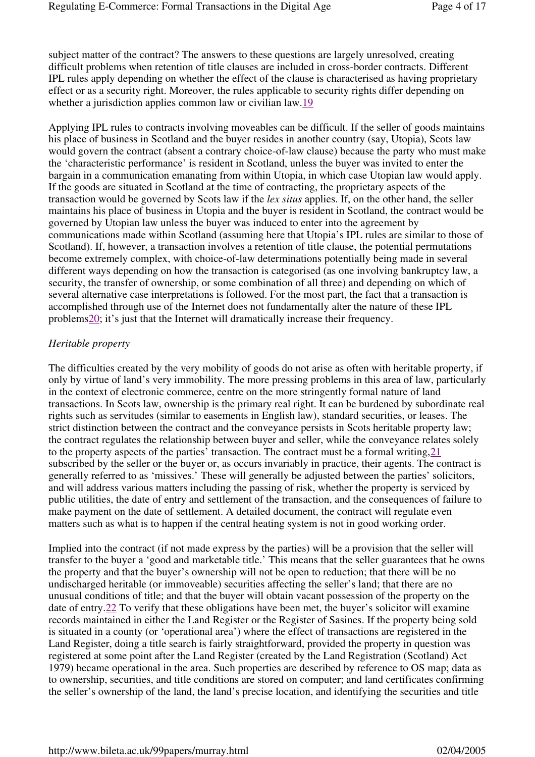subject matter of the contract? The answers to these questions are largely unresolved, creating difficult problems when retention of title clauses are included in cross-border contracts. Different IPL rules apply depending on whether the effect of the clause is characterised as having proprietary effect or as a security right. Moreover, the rules applicable to security rights differ depending on whether a jurisdiction applies common law or civilian law.19

Applying IPL rules to contracts involving moveables can be difficult. If the seller of goods maintains his place of business in Scotland and the buyer resides in another country (say, Utopia), Scots law would govern the contract (absent a contrary choice-of-law clause) because the party who must make the 'characteristic performance' is resident in Scotland, unless the buyer was invited to enter the bargain in a communication emanating from within Utopia, in which case Utopian law would apply. If the goods are situated in Scotland at the time of contracting, the proprietary aspects of the transaction would be governed by Scots law if the *lex situs* applies. If, on the other hand, the seller maintains his place of business in Utopia and the buyer is resident in Scotland, the contract would be governed by Utopian law unless the buyer was induced to enter into the agreement by communications made within Scotland (assuming here that Utopia's IPL rules are similar to those of Scotland). If, however, a transaction involves a retention of title clause, the potential permutations become extremely complex, with choice-of-law determinations potentially being made in several different ways depending on how the transaction is categorised (as one involving bankruptcy law, a security, the transfer of ownership, or some combination of all three) and depending on which of several alternative case interpretations is followed. For the most part, the fact that a transaction is accomplished through use of the Internet does not fundamentally alter the nature of these IPL problems20; it's just that the Internet will dramatically increase their frequency.

#### *Heritable property*

The difficulties created by the very mobility of goods do not arise as often with heritable property, if only by virtue of land's very immobility. The more pressing problems in this area of law, particularly in the context of electronic commerce, centre on the more stringently formal nature of land transactions. In Scots law, ownership is the primary real right. It can be burdened by subordinate real rights such as servitudes (similar to easements in English law), standard securities, or leases. The strict distinction between the contract and the conveyance persists in Scots heritable property law; the contract regulates the relationship between buyer and seller, while the conveyance relates solely to the property aspects of the parties' transaction. The contract must be a formal writing,21 subscribed by the seller or the buyer or, as occurs invariably in practice, their agents. The contract is generally referred to as 'missives.' These will generally be adjusted between the parties' solicitors, and will address various matters including the passing of risk, whether the property is serviced by public utilities, the date of entry and settlement of the transaction, and the consequences of failure to make payment on the date of settlement. A detailed document, the contract will regulate even matters such as what is to happen if the central heating system is not in good working order.

Implied into the contract (if not made express by the parties) will be a provision that the seller will transfer to the buyer a 'good and marketable title.' This means that the seller guarantees that he owns the property and that the buyer's ownership will not be open to reduction; that there will be no undischarged heritable (or immoveable) securities affecting the seller's land; that there are no unusual conditions of title; and that the buyer will obtain vacant possession of the property on the date of entry.22 To verify that these obligations have been met, the buyer's solicitor will examine records maintained in either the Land Register or the Register of Sasines. If the property being sold is situated in a county (or 'operational area') where the effect of transactions are registered in the Land Register, doing a title search is fairly straightforward, provided the property in question was registered at some point after the Land Register (created by the Land Registration (Scotland) Act 1979) became operational in the area. Such properties are described by reference to OS map; data as to ownership, securities, and title conditions are stored on computer; and land certificates confirming the seller's ownership of the land, the land's precise location, and identifying the securities and title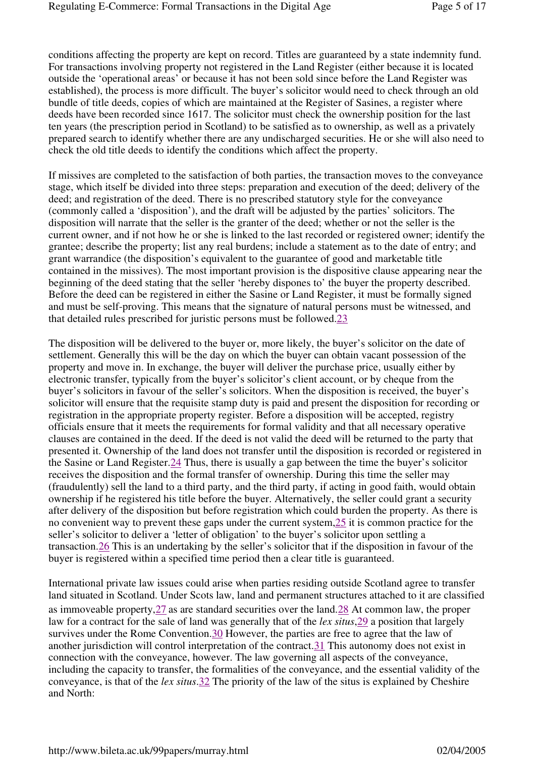conditions affecting the property are kept on record. Titles are guaranteed by a state indemnity fund. For transactions involving property not registered in the Land Register (either because it is located outside the 'operational areas' or because it has not been sold since before the Land Register was established), the process is more difficult. The buyer's solicitor would need to check through an old bundle of title deeds, copies of which are maintained at the Register of Sasines, a register where deeds have been recorded since 1617. The solicitor must check the ownership position for the last ten years (the prescription period in Scotland) to be satisfied as to ownership, as well as a privately prepared search to identify whether there are any undischarged securities. He or she will also need to check the old title deeds to identify the conditions which affect the property.

If missives are completed to the satisfaction of both parties, the transaction moves to the conveyance stage, which itself be divided into three steps: preparation and execution of the deed; delivery of the deed; and registration of the deed. There is no prescribed statutory style for the conveyance (commonly called a 'disposition'), and the draft will be adjusted by the parties' solicitors. The disposition will narrate that the seller is the granter of the deed; whether or not the seller is the current owner, and if not how he or she is linked to the last recorded or registered owner; identify the grantee; describe the property; list any real burdens; include a statement as to the date of entry; and grant warrandice (the disposition's equivalent to the guarantee of good and marketable title contained in the missives). The most important provision is the dispositive clause appearing near the beginning of the deed stating that the seller 'hereby dispones to' the buyer the property described. Before the deed can be registered in either the Sasine or Land Register, it must be formally signed and must be self-proving. This means that the signature of natural persons must be witnessed, and that detailed rules prescribed for juristic persons must be followed.23

The disposition will be delivered to the buyer or, more likely, the buyer's solicitor on the date of settlement. Generally this will be the day on which the buyer can obtain vacant possession of the property and move in. In exchange, the buyer will deliver the purchase price, usually either by electronic transfer, typically from the buyer's solicitor's client account, or by cheque from the buyer's solicitors in favour of the seller's solicitors. When the disposition is received, the buyer's solicitor will ensure that the requisite stamp duty is paid and present the disposition for recording or registration in the appropriate property register. Before a disposition will be accepted, registry officials ensure that it meets the requirements for formal validity and that all necessary operative clauses are contained in the deed. If the deed is not valid the deed will be returned to the party that presented it. Ownership of the land does not transfer until the disposition is recorded or registered in the Sasine or Land Register.24 Thus, there is usually a gap between the time the buyer's solicitor receives the disposition and the formal transfer of ownership. During this time the seller may (fraudulently) sell the land to a third party, and the third party, if acting in good faith, would obtain ownership if he registered his title before the buyer. Alternatively, the seller could grant a security after delivery of the disposition but before registration which could burden the property. As there is no convenient way to prevent these gaps under the current system,25 it is common practice for the seller's solicitor to deliver a 'letter of obligation' to the buyer's solicitor upon settling a transaction.26 This is an undertaking by the seller's solicitor that if the disposition in favour of the buyer is registered within a specified time period then a clear title is guaranteed.

International private law issues could arise when parties residing outside Scotland agree to transfer land situated in Scotland. Under Scots law, land and permanent structures attached to it are classified as immoveable property,27 as are standard securities over the land.28 At common law, the proper law for a contract for the sale of land was generally that of the *lex situs*,29 a position that largely survives under the Rome Convention. 30 However, the parties are free to agree that the law of another jurisdiction will control interpretation of the contract.31 This autonomy does not exist in connection with the conveyance, however. The law governing all aspects of the conveyance, including the capacity to transfer, the formalities of the conveyance, and the essential validity of the conveyance, is that of the *lex situs*.32 The priority of the law of the situs is explained by Cheshire and North: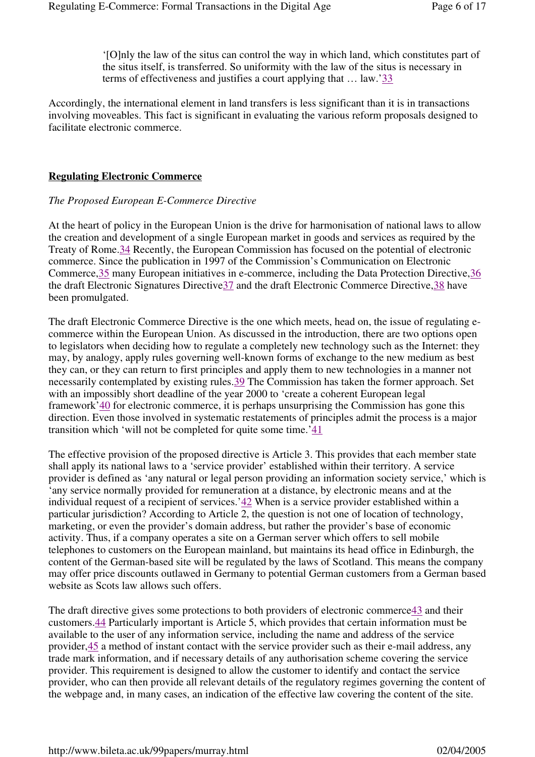'[O]nly the law of the situs can control the way in which land, which constitutes part of the situs itself, is transferred. So uniformity with the law of the situs is necessary in terms of effectiveness and justifies a court applying that … law.'33

Accordingly, the international element in land transfers is less significant than it is in transactions involving moveables. This fact is significant in evaluating the various reform proposals designed to facilitate electronic commerce.

## **Regulating Electronic Commerce**

#### *The Proposed European E-Commerce Directive*

At the heart of policy in the European Union is the drive for harmonisation of national laws to allow the creation and development of a single European market in goods and services as required by the Treaty of Rome.34 Recently, the European Commission has focused on the potential of electronic commerce. Since the publication in 1997 of the Commission's Communication on Electronic Commerce,35 many European initiatives in e-commerce, including the Data Protection Directive,36 the draft Electronic Signatures Directive37 and the draft Electronic Commerce Directive,38 have been promulgated.

The draft Electronic Commerce Directive is the one which meets, head on, the issue of regulating ecommerce within the European Union. As discussed in the introduction, there are two options open to legislators when deciding how to regulate a completely new technology such as the Internet: they may, by analogy, apply rules governing well-known forms of exchange to the new medium as best they can, or they can return to first principles and apply them to new technologies in a manner not necessarily contemplated by existing rules.39 The Commission has taken the former approach. Set with an impossibly short deadline of the year 2000 to 'create a coherent European legal framework'40 for electronic commerce, it is perhaps unsurprising the Commission has gone this direction. Even those involved in systematic restatements of principles admit the process is a major transition which 'will not be completed for quite some time.'41

The effective provision of the proposed directive is Article 3. This provides that each member state shall apply its national laws to a 'service provider' established within their territory. A service provider is defined as 'any natural or legal person providing an information society service,' which is 'any service normally provided for remuneration at a distance, by electronic means and at the individual request of a recipient of services.'42 When is a service provider established within a particular jurisdiction? According to Article 2, the question is not one of location of technology, marketing, or even the provider's domain address, but rather the provider's base of economic activity. Thus, if a company operates a site on a German server which offers to sell mobile telephones to customers on the European mainland, but maintains its head office in Edinburgh, the content of the German-based site will be regulated by the laws of Scotland. This means the company may offer price discounts outlawed in Germany to potential German customers from a German based website as Scots law allows such offers.

The draft directive gives some protections to both providers of electronic commerce43 and their customers.44 Particularly important is Article 5, which provides that certain information must be available to the user of any information service, including the name and address of the service provider,45 a method of instant contact with the service provider such as their e-mail address, any trade mark information, and if necessary details of any authorisation scheme covering the service provider. This requirement is designed to allow the customer to identify and contact the service provider, who can then provide all relevant details of the regulatory regimes governing the content of the webpage and, in many cases, an indication of the effective law covering the content of the site.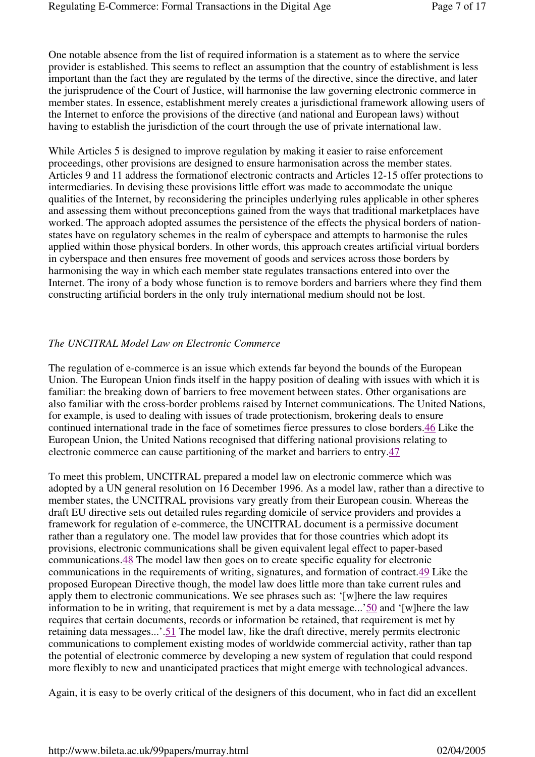One notable absence from the list of required information is a statement as to where the service provider is established. This seems to reflect an assumption that the country of establishment is less important than the fact they are regulated by the terms of the directive, since the directive, and later the jurisprudence of the Court of Justice, will harmonise the law governing electronic commerce in member states. In essence, establishment merely creates a jurisdictional framework allowing users of the Internet to enforce the provisions of the directive (and national and European laws) without having to establish the jurisdiction of the court through the use of private international law.

While Articles 5 is designed to improve regulation by making it easier to raise enforcement proceedings, other provisions are designed to ensure harmonisation across the member states. Articles 9 and 11 address the formationof electronic contracts and Articles 12-15 offer protections to intermediaries. In devising these provisions little effort was made to accommodate the unique qualities of the Internet, by reconsidering the principles underlying rules applicable in other spheres and assessing them without preconceptions gained from the ways that traditional marketplaces have worked. The approach adopted assumes the persistence of the effects the physical borders of nationstates have on regulatory schemes in the realm of cyberspace and attempts to harmonise the rules applied within those physical borders. In other words, this approach creates artificial virtual borders in cyberspace and then ensures free movement of goods and services across those borders by harmonising the way in which each member state regulates transactions entered into over the Internet. The irony of a body whose function is to remove borders and barriers where they find them constructing artificial borders in the only truly international medium should not be lost.

## *The UNCITRAL Model Law on Electronic Commerce*

The regulation of e-commerce is an issue which extends far beyond the bounds of the European Union. The European Union finds itself in the happy position of dealing with issues with which it is familiar: the breaking down of barriers to free movement between states. Other organisations are also familiar with the cross-border problems raised by Internet communications. The United Nations, for example, is used to dealing with issues of trade protectionism, brokering deals to ensure continued international trade in the face of sometimes fierce pressures to close borders.46 Like the European Union, the United Nations recognised that differing national provisions relating to electronic commerce can cause partitioning of the market and barriers to entry.47

To meet this problem, UNCITRAL prepared a model law on electronic commerce which was adopted by a UN general resolution on 16 December 1996. As a model law, rather than a directive to member states, the UNCITRAL provisions vary greatly from their European cousin. Whereas the draft EU directive sets out detailed rules regarding domicile of service providers and provides a framework for regulation of e-commerce, the UNCITRAL document is a permissive document rather than a regulatory one. The model law provides that for those countries which adopt its provisions, electronic communications shall be given equivalent legal effect to paper-based communications.48 The model law then goes on to create specific equality for electronic communications in the requirements of writing, signatures, and formation of contract.49 Like the proposed European Directive though, the model law does little more than take current rules and apply them to electronic communications. We see phrases such as: '[w]here the law requires information to be in writing, that requirement is met by a data message...'50 and '[w]here the law requires that certain documents, records or information be retained, that requirement is met by retaining data messages...'.51 The model law, like the draft directive, merely permits electronic communications to complement existing modes of worldwide commercial activity, rather than tap the potential of electronic commerce by developing a new system of regulation that could respond more flexibly to new and unanticipated practices that might emerge with technological advances.

Again, it is easy to be overly critical of the designers of this document, who in fact did an excellent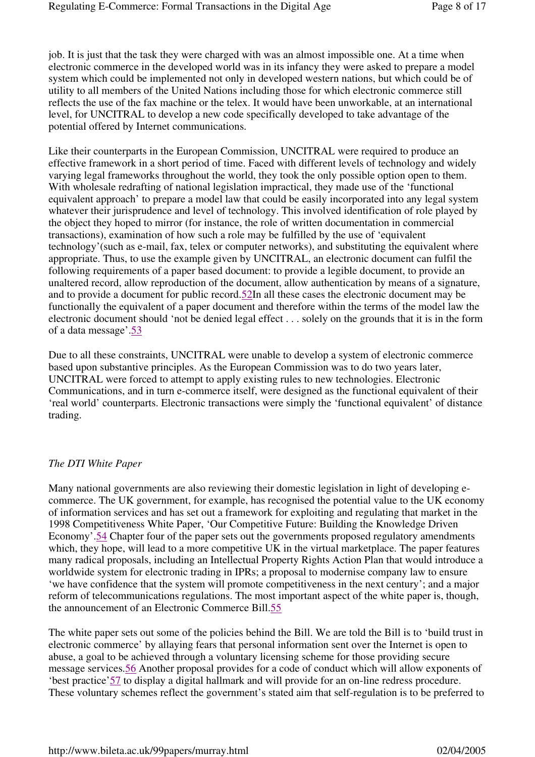job. It is just that the task they were charged with was an almost impossible one. At a time when electronic commerce in the developed world was in its infancy they were asked to prepare a model system which could be implemented not only in developed western nations, but which could be of utility to all members of the United Nations including those for which electronic commerce still reflects the use of the fax machine or the telex. It would have been unworkable, at an international level, for UNCITRAL to develop a new code specifically developed to take advantage of the potential offered by Internet communications.

Like their counterparts in the European Commission, UNCITRAL were required to produce an effective framework in a short period of time. Faced with different levels of technology and widely varying legal frameworks throughout the world, they took the only possible option open to them. With wholesale redrafting of national legislation impractical, they made use of the 'functional equivalent approach' to prepare a model law that could be easily incorporated into any legal system whatever their jurisprudence and level of technology. This involved identification of role played by the object they hoped to mirror (for instance, the role of written documentation in commercial transactions), examination of how such a role may be fulfilled by the use of 'equivalent technology'(such as e-mail, fax, telex or computer networks), and substituting the equivalent where appropriate. Thus, to use the example given by UNCITRAL, an electronic document can fulfil the following requirements of a paper based document: to provide a legible document, to provide an unaltered record, allow reproduction of the document, allow authentication by means of a signature, and to provide a document for public record.52In all these cases the electronic document may be functionally the equivalent of a paper document and therefore within the terms of the model law the electronic document should 'not be denied legal effect . . . solely on the grounds that it is in the form of a data message'.53

Due to all these constraints, UNCITRAL were unable to develop a system of electronic commerce based upon substantive principles. As the European Commission was to do two years later, UNCITRAL were forced to attempt to apply existing rules to new technologies. Electronic Communications, and in turn e-commerce itself, were designed as the functional equivalent of their 'real world' counterparts. Electronic transactions were simply the 'functional equivalent' of distance trading.

#### *The DTI White Paper*

Many national governments are also reviewing their domestic legislation in light of developing ecommerce. The UK government, for example, has recognised the potential value to the UK economy of information services and has set out a framework for exploiting and regulating that market in the 1998 Competitiveness White Paper, 'Our Competitive Future: Building the Knowledge Driven Economy'.54 Chapter four of the paper sets out the governments proposed regulatory amendments which, they hope, will lead to a more competitive UK in the virtual marketplace. The paper features many radical proposals, including an Intellectual Property Rights Action Plan that would introduce a worldwide system for electronic trading in IPRs; a proposal to modernise company law to ensure 'we have confidence that the system will promote competitiveness in the next century'; and a major reform of telecommunications regulations. The most important aspect of the white paper is, though, the announcement of an Electronic Commerce Bill.55

The white paper sets out some of the policies behind the Bill. We are told the Bill is to 'build trust in electronic commerce' by allaying fears that personal information sent over the Internet is open to abuse, a goal to be achieved through a voluntary licensing scheme for those providing secure message services.56 Another proposal provides for a code of conduct which will allow exponents of 'best practice'57 to display a digital hallmark and will provide for an on-line redress procedure. These voluntary schemes reflect the government's stated aim that self-regulation is to be preferred to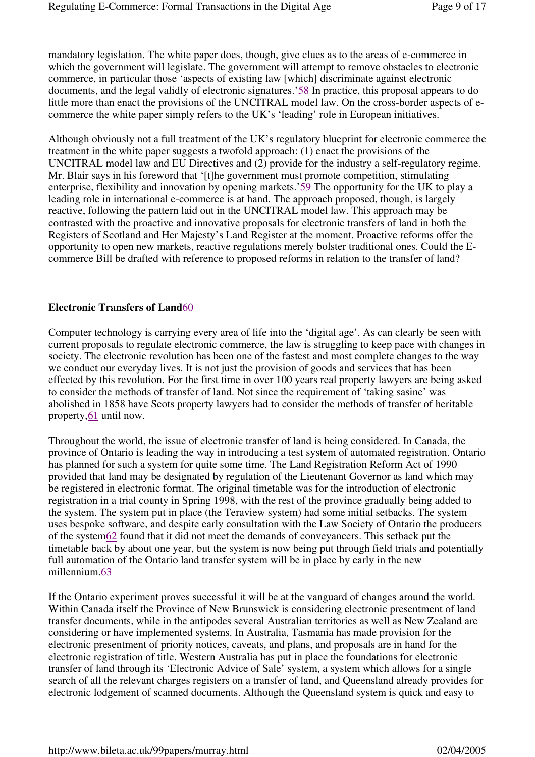mandatory legislation. The white paper does, though, give clues as to the areas of e-commerce in which the government will legislate. The government will attempt to remove obstacles to electronic commerce, in particular those 'aspects of existing law [which] discriminate against electronic documents, and the legal validly of electronic signatures.'58 In practice, this proposal appears to do little more than enact the provisions of the UNCITRAL model law. On the cross-border aspects of ecommerce the white paper simply refers to the UK's 'leading' role in European initiatives.

Although obviously not a full treatment of the UK's regulatory blueprint for electronic commerce the treatment in the white paper suggests a twofold approach: (1) enact the provisions of the UNCITRAL model law and EU Directives and (2) provide for the industry a self-regulatory regime. Mr. Blair says in his foreword that '[t]he government must promote competition, stimulating enterprise, flexibility and innovation by opening markets.'59 The opportunity for the UK to play a leading role in international e-commerce is at hand. The approach proposed, though, is largely reactive, following the pattern laid out in the UNCITRAL model law. This approach may be contrasted with the proactive and innovative proposals for electronic transfers of land in both the Registers of Scotland and Her Majesty's Land Register at the moment. Proactive reforms offer the opportunity to open new markets, reactive regulations merely bolster traditional ones. Could the Ecommerce Bill be drafted with reference to proposed reforms in relation to the transfer of land?

#### **Electronic Transfers of Land**60

Computer technology is carrying every area of life into the 'digital age'. As can clearly be seen with current proposals to regulate electronic commerce, the law is struggling to keep pace with changes in society. The electronic revolution has been one of the fastest and most complete changes to the way we conduct our everyday lives. It is not just the provision of goods and services that has been effected by this revolution. For the first time in over 100 years real property lawyers are being asked to consider the methods of transfer of land. Not since the requirement of 'taking sasine' was abolished in 1858 have Scots property lawyers had to consider the methods of transfer of heritable property,61 until now.

Throughout the world, the issue of electronic transfer of land is being considered. In Canada, the province of Ontario is leading the way in introducing a test system of automated registration. Ontario has planned for such a system for quite some time. The Land Registration Reform Act of 1990 provided that land may be designated by regulation of the Lieutenant Governor as land which may be registered in electronic format. The original timetable was for the introduction of electronic registration in a trial county in Spring 1998, with the rest of the province gradually being added to the system. The system put in place (the Teraview system) had some initial setbacks. The system uses bespoke software, and despite early consultation with the Law Society of Ontario the producers of the system62 found that it did not meet the demands of conveyancers. This setback put the timetable back by about one year, but the system is now being put through field trials and potentially full automation of the Ontario land transfer system will be in place by early in the new millennium.63

If the Ontario experiment proves successful it will be at the vanguard of changes around the world. Within Canada itself the Province of New Brunswick is considering electronic presentment of land transfer documents, while in the antipodes several Australian territories as well as New Zealand are considering or have implemented systems. In Australia, Tasmania has made provision for the electronic presentment of priority notices, caveats, and plans, and proposals are in hand for the electronic registration of title. Western Australia has put in place the foundations for electronic transfer of land through its 'Electronic Advice of Sale' system, a system which allows for a single search of all the relevant charges registers on a transfer of land, and Queensland already provides for electronic lodgement of scanned documents. Although the Queensland system is quick and easy to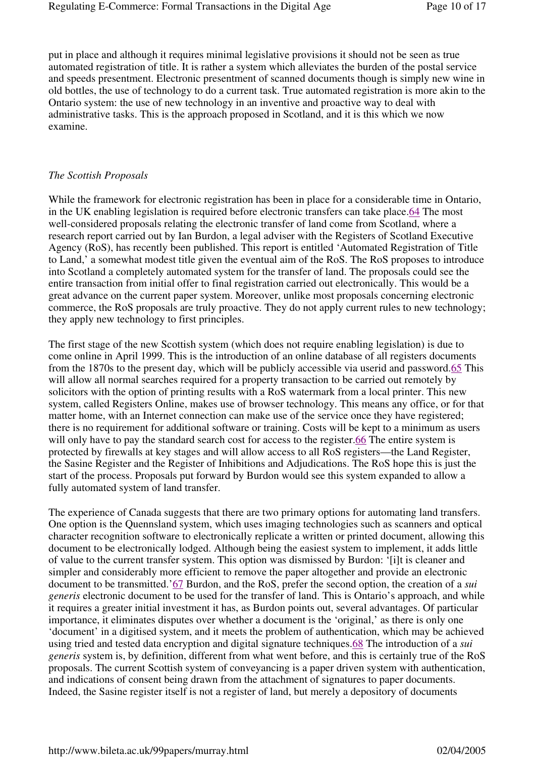put in place and although it requires minimal legislative provisions it should not be seen as true automated registration of title. It is rather a system which alleviates the burden of the postal service and speeds presentment. Electronic presentment of scanned documents though is simply new wine in old bottles, the use of technology to do a current task. True automated registration is more akin to the Ontario system: the use of new technology in an inventive and proactive way to deal with administrative tasks. This is the approach proposed in Scotland, and it is this which we now examine.

#### *The Scottish Proposals*

While the framework for electronic registration has been in place for a considerable time in Ontario, in the UK enabling legislation is required before electronic transfers can take place.64 The most well-considered proposals relating the electronic transfer of land come from Scotland, where a research report carried out by Ian Burdon, a legal adviser with the Registers of Scotland Executive Agency (RoS), has recently been published. This report is entitled 'Automated Registration of Title to Land,' a somewhat modest title given the eventual aim of the RoS. The RoS proposes to introduce into Scotland a completely automated system for the transfer of land. The proposals could see the entire transaction from initial offer to final registration carried out electronically. This would be a great advance on the current paper system. Moreover, unlike most proposals concerning electronic commerce, the RoS proposals are truly proactive. They do not apply current rules to new technology; they apply new technology to first principles.

The first stage of the new Scottish system (which does not require enabling legislation) is due to come online in April 1999. This is the introduction of an online database of all registers documents from the 1870s to the present day, which will be publicly accessible via userid and password.65 This will allow all normal searches required for a property transaction to be carried out remotely by solicitors with the option of printing results with a RoS watermark from a local printer. This new system, called Registers Online, makes use of browser technology. This means any office, or for that matter home, with an Internet connection can make use of the service once they have registered; there is no requirement for additional software or training. Costs will be kept to a minimum as users will only have to pay the standard search cost for access to the register.66 The entire system is protected by firewalls at key stages and will allow access to all RoS registers—the Land Register, the Sasine Register and the Register of Inhibitions and Adjudications. The RoS hope this is just the start of the process. Proposals put forward by Burdon would see this system expanded to allow a fully automated system of land transfer.

The experience of Canada suggests that there are two primary options for automating land transfers. One option is the Quennsland system, which uses imaging technologies such as scanners and optical character recognition software to electronically replicate a written or printed document, allowing this document to be electronically lodged. Although being the easiest system to implement, it adds little of value to the current transfer system. This option was dismissed by Burdon: '[i]t is cleaner and simpler and considerably more efficient to remove the paper altogether and provide an electronic document to be transmitted.'67 Burdon, and the RoS, prefer the second option, the creation of a *sui generis* electronic document to be used for the transfer of land. This is Ontario's approach, and while it requires a greater initial investment it has, as Burdon points out, several advantages. Of particular importance, it eliminates disputes over whether a document is the 'original,' as there is only one 'document' in a digitised system, and it meets the problem of authentication, which may be achieved using tried and tested data encryption and digital signature techniques.68 The introduction of a *sui generis* system is, by definition, different from what went before, and this is certainly true of the RoS proposals. The current Scottish system of conveyancing is a paper driven system with authentication, and indications of consent being drawn from the attachment of signatures to paper documents. Indeed, the Sasine register itself is not a register of land, but merely a depository of documents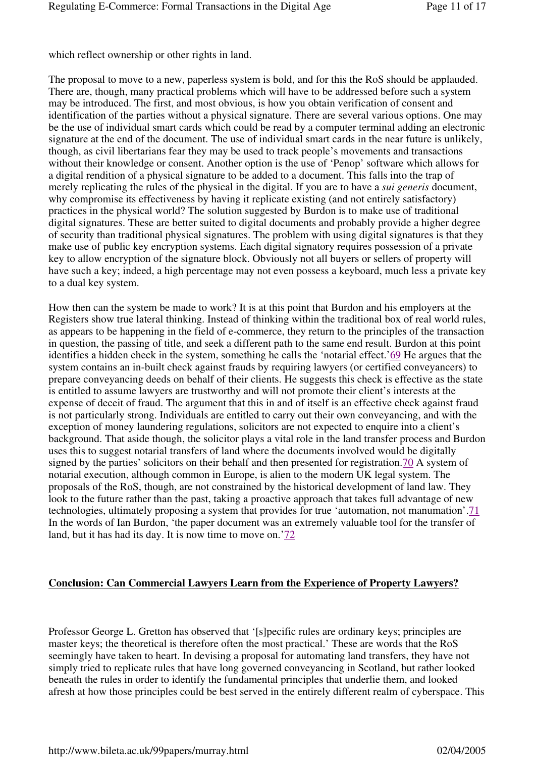which reflect ownership or other rights in land.

The proposal to move to a new, paperless system is bold, and for this the RoS should be applauded. There are, though, many practical problems which will have to be addressed before such a system may be introduced. The first, and most obvious, is how you obtain verification of consent and identification of the parties without a physical signature. There are several various options. One may be the use of individual smart cards which could be read by a computer terminal adding an electronic signature at the end of the document. The use of individual smart cards in the near future is unlikely, though, as civil libertarians fear they may be used to track people's movements and transactions without their knowledge or consent. Another option is the use of 'Penop' software which allows for a digital rendition of a physical signature to be added to a document. This falls into the trap of merely replicating the rules of the physical in the digital. If you are to have a *sui generis* document, why compromise its effectiveness by having it replicate existing (and not entirely satisfactory) practices in the physical world? The solution suggested by Burdon is to make use of traditional digital signatures. These are better suited to digital documents and probably provide a higher degree of security than traditional physical signatures. The problem with using digital signatures is that they make use of public key encryption systems. Each digital signatory requires possession of a private key to allow encryption of the signature block. Obviously not all buyers or sellers of property will have such a key; indeed, a high percentage may not even possess a keyboard, much less a private key to a dual key system.

How then can the system be made to work? It is at this point that Burdon and his employers at the Registers show true lateral thinking. Instead of thinking within the traditional box of real world rules, as appears to be happening in the field of e-commerce, they return to the principles of the transaction in question, the passing of title, and seek a different path to the same end result. Burdon at this point identifies a hidden check in the system, something he calls the 'notarial effect.'69 He argues that the system contains an in-built check against frauds by requiring lawyers (or certified conveyancers) to prepare conveyancing deeds on behalf of their clients. He suggests this check is effective as the state is entitled to assume lawyers are trustworthy and will not promote their client's interests at the expense of deceit of fraud. The argument that this in and of itself is an effective check against fraud is not particularly strong. Individuals are entitled to carry out their own conveyancing, and with the exception of money laundering regulations, solicitors are not expected to enquire into a client's background. That aside though, the solicitor plays a vital role in the land transfer process and Burdon uses this to suggest notarial transfers of land where the documents involved would be digitally signed by the parties' solicitors on their behalf and then presented for registration.70 A system of notarial execution, although common in Europe, is alien to the modern UK legal system. The proposals of the RoS, though, are not constrained by the historical development of land law. They look to the future rather than the past, taking a proactive approach that takes full advantage of new technologies, ultimately proposing a system that provides for true 'automation, not manumation'.71 In the words of Ian Burdon, 'the paper document was an extremely valuable tool for the transfer of land, but it has had its day. It is now time to move on.'72

## **Conclusion: Can Commercial Lawyers Learn from the Experience of Property Lawyers?**

Professor George L. Gretton has observed that '[s]pecific rules are ordinary keys; principles are master keys; the theoretical is therefore often the most practical.' These are words that the RoS seemingly have taken to heart. In devising a proposal for automating land transfers, they have not simply tried to replicate rules that have long governed conveyancing in Scotland, but rather looked beneath the rules in order to identify the fundamental principles that underlie them, and looked afresh at how those principles could be best served in the entirely different realm of cyberspace. This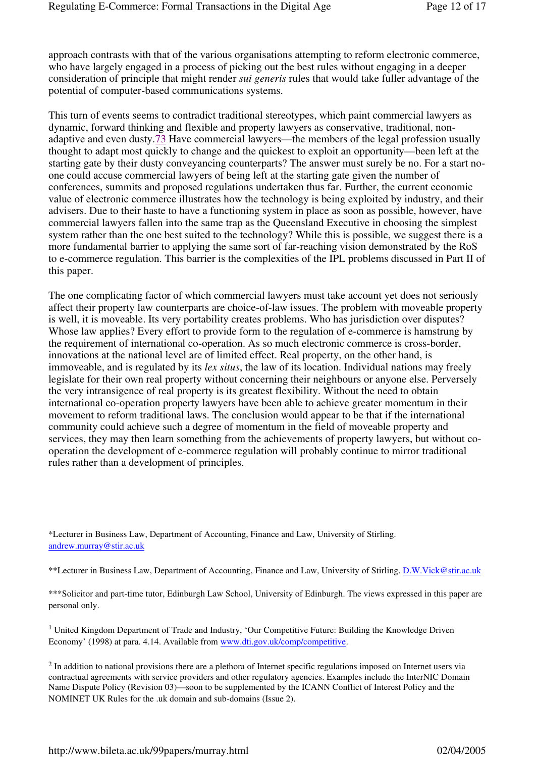approach contrasts with that of the various organisations attempting to reform electronic commerce, who have largely engaged in a process of picking out the best rules without engaging in a deeper consideration of principle that might render *sui generis* rules that would take fuller advantage of the potential of computer-based communications systems.

This turn of events seems to contradict traditional stereotypes, which paint commercial lawyers as dynamic, forward thinking and flexible and property lawyers as conservative, traditional, nonadaptive and even dusty.73 Have commercial lawyers—the members of the legal profession usually thought to adapt most quickly to change and the quickest to exploit an opportunity—been left at the starting gate by their dusty conveyancing counterparts? The answer must surely be no. For a start noone could accuse commercial lawyers of being left at the starting gate given the number of conferences, summits and proposed regulations undertaken thus far. Further, the current economic value of electronic commerce illustrates how the technology is being exploited by industry, and their advisers. Due to their haste to have a functioning system in place as soon as possible, however, have commercial lawyers fallen into the same trap as the Queensland Executive in choosing the simplest system rather than the one best suited to the technology? While this is possible, we suggest there is a more fundamental barrier to applying the same sort of far-reaching vision demonstrated by the RoS to e-commerce regulation. This barrier is the complexities of the IPL problems discussed in Part II of this paper.

The one complicating factor of which commercial lawyers must take account yet does not seriously affect their property law counterparts are choice-of-law issues. The problem with moveable property is well, it is moveable. Its very portability creates problems. Who has jurisdiction over disputes? Whose law applies? Every effort to provide form to the regulation of e-commerce is hamstrung by the requirement of international co-operation. As so much electronic commerce is cross-border, innovations at the national level are of limited effect. Real property, on the other hand, is immoveable, and is regulated by its *lex situs*, the law of its location. Individual nations may freely legislate for their own real property without concerning their neighbours or anyone else. Perversely the very intransigence of real property is its greatest flexibility. Without the need to obtain international co-operation property lawyers have been able to achieve greater momentum in their movement to reform traditional laws. The conclusion would appear to be that if the international community could achieve such a degree of momentum in the field of moveable property and services, they may then learn something from the achievements of property lawyers, but without cooperation the development of e-commerce regulation will probably continue to mirror traditional rules rather than a development of principles.

\*Lecturer in Business Law, Department of Accounting, Finance and Law, University of Stirling. andrew.murray@stir.ac.uk

\*\*Lecturer in Business Law, Department of Accounting, Finance and Law, University of Stirling. D.W.Vick@stir.ac.uk

\*\*\*Solicitor and part-time tutor, Edinburgh Law School, University of Edinburgh. The views expressed in this paper are personal only.

<sup>1</sup> United Kingdom Department of Trade and Industry, 'Our Competitive Future: Building the Knowledge Driven Economy' (1998) at para. 4.14. Available from www.dti.gov.uk/comp/competitive.

 $2$  In addition to national provisions there are a plethora of Internet specific regulations imposed on Internet users via contractual agreements with service providers and other regulatory agencies. Examples include the InterNIC Domain Name Dispute Policy (Revision 03)—soon to be supplemented by the ICANN Conflict of Interest Policy and the NOMINET UK Rules for the .uk domain and sub-domains (Issue 2).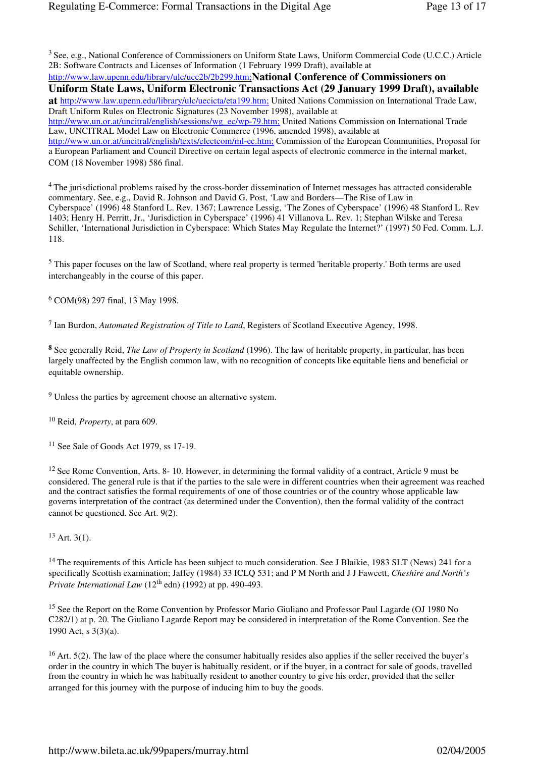<sup>3</sup> See, e.g., National Conference of Commissioners on Uniform State Laws, Uniform Commercial Code (U.C.C.) Article 2B: Software Contracts and Licenses of Information (1 February 1999 Draft), available at

http://www.law.upenn.edu/library/ulc/ucc2b/2b299.htm;**National Conference of Commissioners on Uniform State Laws, Uniform Electronic Transactions Act (29 January 1999 Draft), available at** http://www.law.upenn.edu/library/ulc/uecicta/eta199.htm; United Nations Commission on International Trade Law, Draft Uniform Rules on Electronic Signatures (23 November 1998), available at http://www.un.or.at/uncitral/english/sessions/wg\_ec/wp-79.htm; United Nations Commission on International Trade Law, UNCITRAL Model Law on Electronic Commerce (1996, amended 1998), available at http://www.un.or.at/uncitral/english/texts/electcom/ml-ec.htm; Commission of the European Communities, Proposal for a European Parliament and Council Directive on certain legal aspects of electronic commerce in the internal market, COM (18 November 1998) 586 final.

<sup>4</sup>The jurisdictional problems raised by the cross-border dissemination of Internet messages has attracted considerable commentary. See, e.g., David R. Johnson and David G. Post, 'Law and Borders—The Rise of Law in Cyberspace' (1996) 48 Stanford L. Rev. 1367; Lawrence Lessig, 'The Zones of Cyberspace' (1996) 48 Stanford L. Rev 1403; Henry H. Perritt, Jr., 'Jurisdiction in Cyberspace' (1996) 41 Villanova L. Rev. 1; Stephan Wilske and Teresa Schiller, 'International Jurisdiction in Cyberspace: Which States May Regulate the Internet?' (1997) 50 Fed. Comm. L.J. 118.

<sup>5</sup> This paper focuses on the law of Scotland, where real property is termed 'heritable property.' Both terms are used interchangeably in the course of this paper.

6 COM(98) 297 final, 13 May 1998.

7 Ian Burdon, *Automated Registration of Title to Land*, Registers of Scotland Executive Agency, 1998.

**8** See generally Reid, *The Law of Property in Scotland* (1996). The law of heritable property, in particular, has been largely unaffected by the English common law, with no recognition of concepts like equitable liens and beneficial or equitable ownership.

<sup>9</sup> Unless the parties by agreement choose an alternative system.

<sup>10</sup> Reid, *Property*, at para 609.

<sup>11</sup> See Sale of Goods Act 1979, ss 17-19.

<sup>12</sup> See Rome Convention, Arts. 8- 10. However, in determining the formal validity of a contract, Article 9 must be considered. The general rule is that if the parties to the sale were in different countries when their agreement was reached and the contract satisfies the formal requirements of one of those countries or of the country whose applicable law governs interpretation of the contract (as determined under the Convention), then the formal validity of the contract cannot be questioned. See Art. 9(2).

 $13$  Art. 3(1).

<sup>14</sup> The requirements of this Article has been subject to much consideration. See J Blaikie, 1983 SLT (News) 241 for a specifically Scottish examination; Jaffey (1984) 33 ICLQ 531; and P M North and J J Fawcett, *Cheshire and North's Private International Law* (12<sup>th</sup> edn) (1992) at pp. 490-493.

<sup>15</sup> See the Report on the Rome Convention by Professor Mario Giuliano and Professor Paul Lagarde (OJ 1980 No C282/1) at p. 20. The Giuliano Lagarde Report may be considered in interpretation of the Rome Convention. See the 1990 Act, s 3(3)(a).

<sup>16</sup> Art. 5(2). The law of the place where the consumer habitually resides also applies if the seller received the buyer's order in the country in which The buyer is habitually resident, or if the buyer, in a contract for sale of goods, travelled from the country in which he was habitually resident to another country to give his order, provided that the seller arranged for this journey with the purpose of inducing him to buy the goods.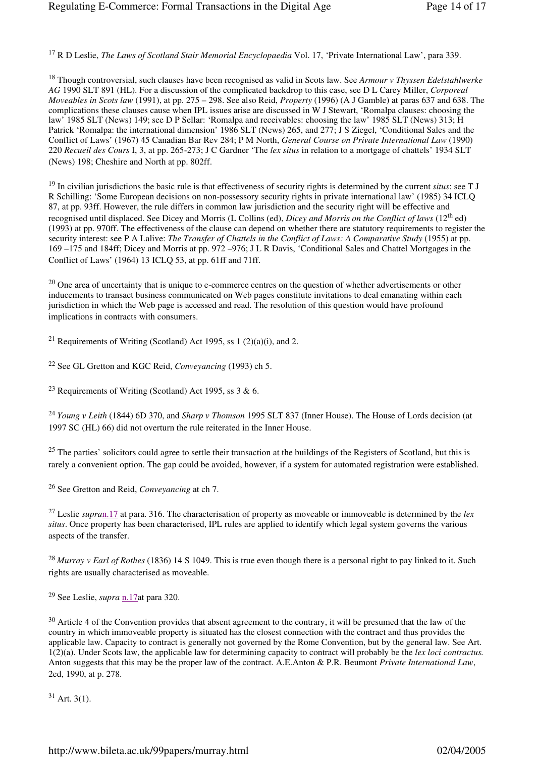<sup>17</sup> R D Leslie, *The Laws of Scotland Stair Memorial Encyclopaedia* Vol. 17, 'Private International Law', para 339.

<sup>18</sup> Though controversial, such clauses have been recognised as valid in Scots law. See *Armour v Thyssen Edelstahlwerke AG* 1990 SLT 891 (HL). For a discussion of the complicated backdrop to this case, see D L Carey Miller, *Corporeal Moveables in Scots law* (1991), at pp. 275 – 298. See also Reid, *Property* (1996) (A J Gamble) at paras 637 and 638. The complications these clauses cause when IPL issues arise are discussed in W J Stewart, 'Romalpa clauses: choosing the law' 1985 SLT (News) 149; see D P Sellar: 'Romalpa and receivables: choosing the law' 1985 SLT (News) 313; H Patrick 'Romalpa: the international dimension' 1986 SLT (News) 265, and 277; J S Ziegel, 'Conditional Sales and the Conflict of Laws' (1967) 45 Canadian Bar Rev 284; P M North, *General Course on Private International Law* (1990) 220 *Recueil des Cours* I, 3, at pp. 265-273; J C Gardner 'The *lex situs* in relation to a mortgage of chattels' 1934 SLT (News) 198; Cheshire and North at pp. 802ff.

<sup>19</sup> In civilian jurisdictions the basic rule is that effectiveness of security rights is determined by the current *situs*: see T J R Schilling: 'Some European decisions on non-possessory security rights in private international law' (1985) 34 ICLQ 87, at pp. 93ff. However, the rule differs in common law jurisdiction and the security right will be effective and recognised until displaced. See Dicey and Morris (L Collins (ed), *Dicey and Morris on the Conflict of laws* (12<sup>th</sup> ed) (1993) at pp. 970ff. The effectiveness of the clause can depend on whether there are statutory requirements to register the security interest: see P A Lalive: *The Transfer of Chattels in the Conflict of Laws: A Comparative Study* (1955) at pp. 169 –175 and 184ff; Dicey and Morris at pp. 972 –976; J L R Davis, 'Conditional Sales and Chattel Mortgages in the Conflict of Laws' (1964) 13 ICLQ 53, at pp. 61ff and 71ff.

 $20$  One area of uncertainty that is unique to e-commerce centres on the question of whether advertisements or other inducements to transact business communicated on Web pages constitute invitations to deal emanating within each jurisdiction in which the Web page is accessed and read. The resolution of this question would have profound implications in contracts with consumers.

<sup>21</sup> Requirements of Writing (Scotland) Act 1995, ss 1 (2)(a)(i), and 2.

<sup>22</sup> See GL Gretton and KGC Reid, *Conveyancing* (1993) ch 5.

<sup>23</sup> Requirements of Writing (Scotland) Act 1995, ss  $3 \& 6$ .

<sup>24</sup>*Young v Leith* (1844) 6D 370, and *Sharp v Thomson* 1995 SLT 837 (Inner House). The House of Lords decision (at 1997 SC (HL) 66) did not overturn the rule reiterated in the Inner House.

<sup>25</sup> The parties' solicitors could agree to settle their transaction at the buildings of the Registers of Scotland, but this is rarely a convenient option. The gap could be avoided, however, if a system for automated registration were established.

<sup>26</sup> See Gretton and Reid, *Conveyancing* at ch 7.

<sup>27</sup> Leslie *supra*n.17 at para. 316. The characterisation of property as moveable or immoveable is determined by the *lex situs*. Once property has been characterised, IPL rules are applied to identify which legal system governs the various aspects of the transfer.

<sup>28</sup>*Murray v Earl of Rothes* (1836) 14 S 1049. This is true even though there is a personal right to pay linked to it. Such rights are usually characterised as moveable.

<sup>29</sup> See Leslie, *supra* n.17at para 320.

<sup>30</sup> Article 4 of the Convention provides that absent agreement to the contrary, it will be presumed that the law of the country in which immoveable property is situated has the closest connection with the contract and thus provides the applicable law. Capacity to contract is generally not governed by the Rome Convention, but by the general law. See Art. 1(2)(a). Under Scots law, the applicable law for determining capacity to contract will probably be the *lex loci contractus.* Anton suggests that this may be the proper law of the contract. A.E.Anton & P.R. Beumont *Private International Law*, 2ed, 1990, at p. 278.

 $31$  Art. 3(1).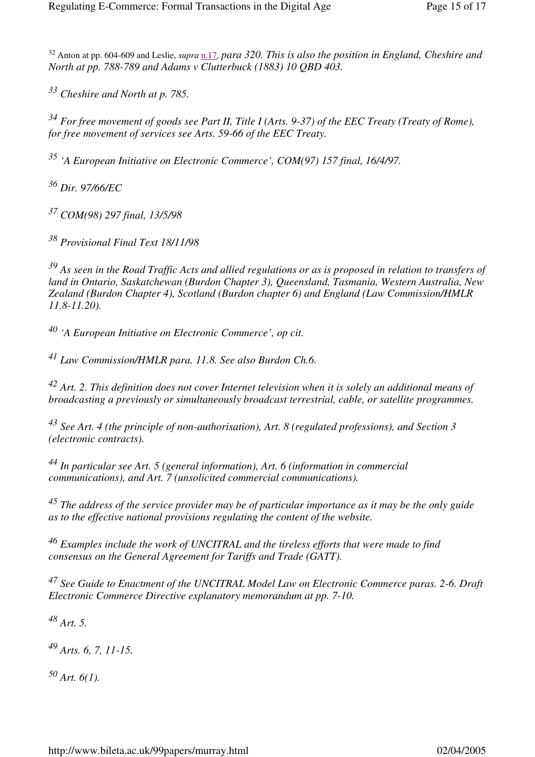<sup>32</sup> Anton at pp. 604-609 and Leslie, *supra* n.17*, para 320. This is also the position in England, Cheshire and North at pp. 788-789 and Adams v Clutterbuck (1883) 10 QBD 403.*

*<sup>33</sup> Cheshire and North at p. 785.*

*<sup>34</sup> For free movement of goods see Part II, Title I (Arts. 9-37) of the EEC Treaty (Treaty of Rome), for free movement of services see Arts. 59-66 of the EEC Treaty.*

*<sup>35</sup> 'A European Initiative on Electronic Commerce', COM(97) 157 final, 16/4/97.*

*<sup>36</sup> Dir. 97/66/EC*

*<sup>37</sup> COM(98) 297 final, 13/5/98*

*<sup>38</sup> Provisional Final Text 18/11/98*

*<sup>39</sup> As seen in the Road Traffic Acts and allied regulations or as is proposed in relation to transfers of land in Ontario, Saskatchewan (Burdon Chapter 3), Queensland, Tasmania, Western Australia, New Zealand (Burdon Chapter 4), Scotland (Burdon chapter 6) and England (Law Commission/HMLR 11.8-11.20).*

*<sup>40</sup> 'A European Initiative on Electronic Commerce', op cit.*

*<sup>41</sup> Law Commission/HMLR para. 11.8. See also Burdon Ch.6.*

*<sup>42</sup> Art. 2. This definition does not cover Internet television when it is solely an additional means of broadcasting a previously or simultaneously broadcast terrestrial, cable, or satellite programmes.*

*<sup>43</sup> See Art. 4 (the principle of non-authorisation), Art. 8 (regulated professions), and Section 3 (electronic contracts).*

*<sup>44</sup> In particular see Art. 5 (general information), Art. 6 (information in commercial communications), and Art. 7 (unsolicited commercial communications).*

*<sup>45</sup> The address of the service provider may be of particular importance as it may be the only guide as to the effective national provisions regulating the content of the website.*

*<sup>46</sup> Examples include the work of UNCITRAL and the tireless efforts that were made to find consensus on the General Agreement for Tariffs and Trade (GATT).*

*<sup>47</sup> See Guide to Enactment of the UNCITRAL Model Law on Electronic Commerce paras. 2-6. Draft Electronic Commerce Directive explanatory memorandum at pp. 7-10.*

*<sup>48</sup> Art. 5.*

*<sup>49</sup> Arts. 6, 7, 11-15.*

*<sup>50</sup> Art. 6(1).*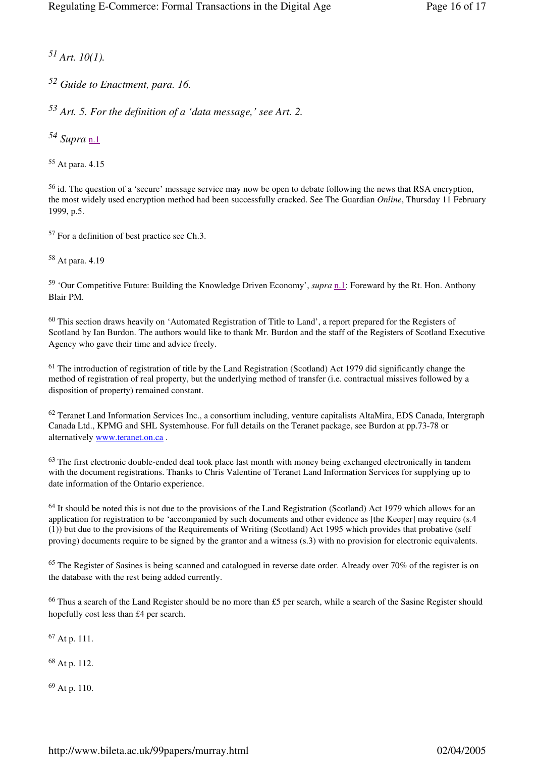*<sup>51</sup>Art. 10(1).*

*<sup>52</sup> Guide to Enactment, para. 16.*

*<sup>53</sup> Art. 5. For the definition of a 'data message,' see Art. 2.*

*<sup>54</sup> Supra* n.1

<sup>55</sup> At para. 4.15

<sup>56</sup> id. The question of a 'secure' message service may now be open to debate following the news that RSA encryption, the most widely used encryption method had been successfully cracked. See The Guardian *Online*, Thursday 11 February 1999, p.5.

<sup>57</sup> For a definition of best practice see Ch.3.

<sup>58</sup> At para. 4.19

<sup>59</sup> 'Our Competitive Future: Building the Knowledge Driven Economy', *supra* n.1: Foreward by the Rt. Hon. Anthony Blair PM.

<sup>60</sup> This section draws heavily on 'Automated Registration of Title to Land', a report prepared for the Registers of Scotland by Ian Burdon. The authors would like to thank Mr. Burdon and the staff of the Registers of Scotland Executive Agency who gave their time and advice freely.

 $<sup>61</sup>$  The introduction of registration of title by the Land Registration (Scotland) Act 1979 did significantly change the</sup> method of registration of real property, but the underlying method of transfer (i.e. contractual missives followed by a disposition of property) remained constant.

<sup>62</sup> Teranet Land Information Services Inc., a consortium including, venture capitalists AltaMira, EDS Canada, Intergraph Canada Ltd., KPMG and SHL Systemhouse. For full details on the Teranet package, see Burdon at pp.73-78 or alternatively www.teranet.on.ca .

 $63$  The first electronic double-ended deal took place last month with money being exchanged electronically in tandem with the document registrations. Thanks to Chris Valentine of Teranet Land Information Services for supplying up to date information of the Ontario experience.

 $64$  It should be noted this is not due to the provisions of the Land Registration (Scotland) Act 1979 which allows for an application for registration to be 'accompanied by such documents and other evidence as [the Keeper] may require (s.4 (1)) but due to the provisions of the Requirements of Writing (Scotland) Act 1995 which provides that probative (self proving) documents require to be signed by the grantor and a witness (s.3) with no provision for electronic equivalents.

 $65$  The Register of Sasines is being scanned and catalogued in reverse date order. Already over 70% of the register is on the database with the rest being added currently.

 $66$  Thus a search of the Land Register should be no more than £5 per search, while a search of the Sasine Register should hopefully cost less than £4 per search.

<sup>67</sup> At p. 111.

<sup>68</sup> At p. 112.

<sup>69</sup> At p. 110.